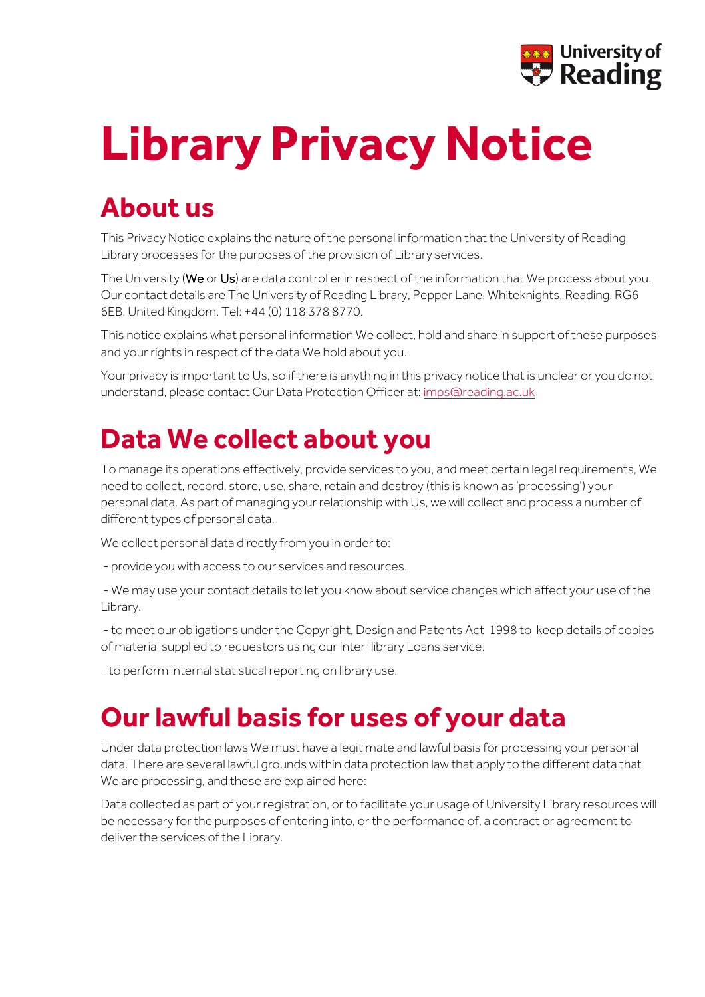

# **Library Privacy Notice**

## **About us**

This Privacy Notice explains the nature of the personal information that the University of Reading Library processes for the purposes of the provision of Library services.

The University (We or Us) are data controller in respect of the information that We process about you. Our contact details are The University of Reading Library, Pepper Lane, Whiteknights, Reading, RG6 6EB, United Kingdom. Tel: +44 (0) 118 378 8770.

This notice explains what personal information We collect, hold and share in support of these purposes and your rights in respect of the data We hold about you.

Your privacy is important to Us, so if there is anything in this privacy notice that is unclear or you do not understand, please contact Our Data Protection Officer at[: imps@reading.ac.uk](mailto:imps@reading.ac.uk)

#### **Data We collect about you**

To manage its operations effectively, provide services to you, and meet certain legal requirements, We need to collect, record, store, use, share, retain and destroy (this is known as 'processing') your personal data. As part of managing your relationship with Us, we will collect and process a number of different types of personal data.

We collect personal data directly from you in order to:

- provide you with access to our services and resources.

- We may use your contact details to let you know about service changes which affect your use of the Library.

- to meet our obligations under the Copyright, Design and Patents Act 1998 to keep details of copies of material supplied to requestors using our Inter-library Loans service.

- to perform internal statistical reporting on library use.

#### **Our lawful basis for uses of your data**

Under data protection laws We must have a legitimate and lawful basis for processing your personal data. There are several lawful grounds within data protection law that apply to the different data that We are processing, and these are explained here:

Data collected as part of your registration, or to facilitate your usage of University Library resources will be necessary for the purposes of entering into, or the performance of, a contract or agreement to deliver the services of the Library.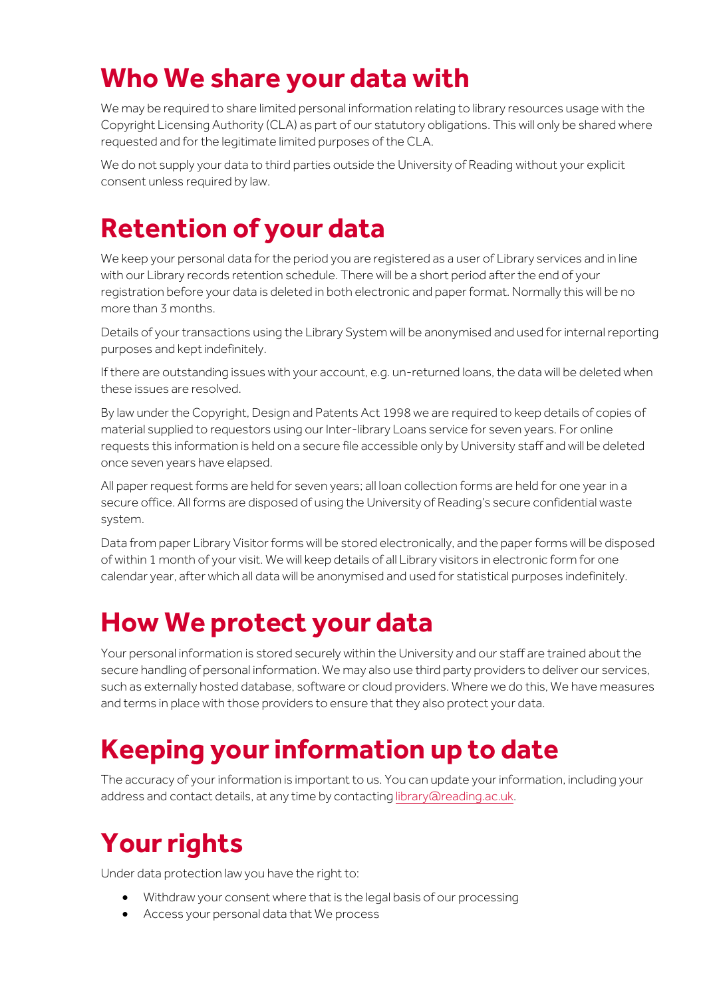#### **Who We share your data with**

We may be required to share limited personal information relating to library resources usage with the Copyright Licensing Authority (CLA) as part of our statutory obligations. This will only be shared where requested and for the legitimate limited purposes of the CLA.

We do not supply your data to third parties outside the University of Reading without your explicit consent unless required by law.

## **Retention of your data**

We keep your personal data for the period you are registered as a user of Library services and in line with our Library records retention schedule. There will be a short period after the end of your registration before your data is deleted in both electronic and paper format. Normally this will be no more than 3 months.

Details of your transactions using the Library System will be anonymised and used for internal reporting purposes and kept indefinitely.

If there are outstanding issues with your account, e.g. un-returned loans, the data will be deleted when these issues are resolved.

By law under the Copyright, Design and Patents Act 1998 we are required to keep details of copies of material supplied to requestors using our Inter-library Loans service for seven years. For online requests this information is held on a secure file accessible only by University staff and will be deleted once seven years have elapsed.

All paper request forms are held for seven years; all loan collection forms are held for one year in a secure office. All forms are disposed of using the University of Reading's secure confidential waste system.

Data from paper Library Visitor forms will be stored electronically, and the paper forms will be disposed of within 1 month of your visit. We will keep details of all Library visitors in electronic form for one calendar year, after which all data will be anonymised and used for statistical purposes indefinitely.

## **How We protect your data**

Your personal information is stored securely within the University and our staff are trained about the secure handling of personal information. We may also use third party providers to deliver our services, such as externally hosted database, software or cloud providers. Where we do this, We have measures and terms in place with those providers to ensure that they also protect your data.

# **Keeping your information up to date**

The accuracy of your information is important to us. You can update your information, including your address and contact details, at any time by contacting [library@reading.ac.uk.](mailto:library@reading.ac.uk)

# **Your rights**

Under data protection law you have the right to:

- Withdraw your consent where that is the legal basis of our processing
- Access your personal data that We process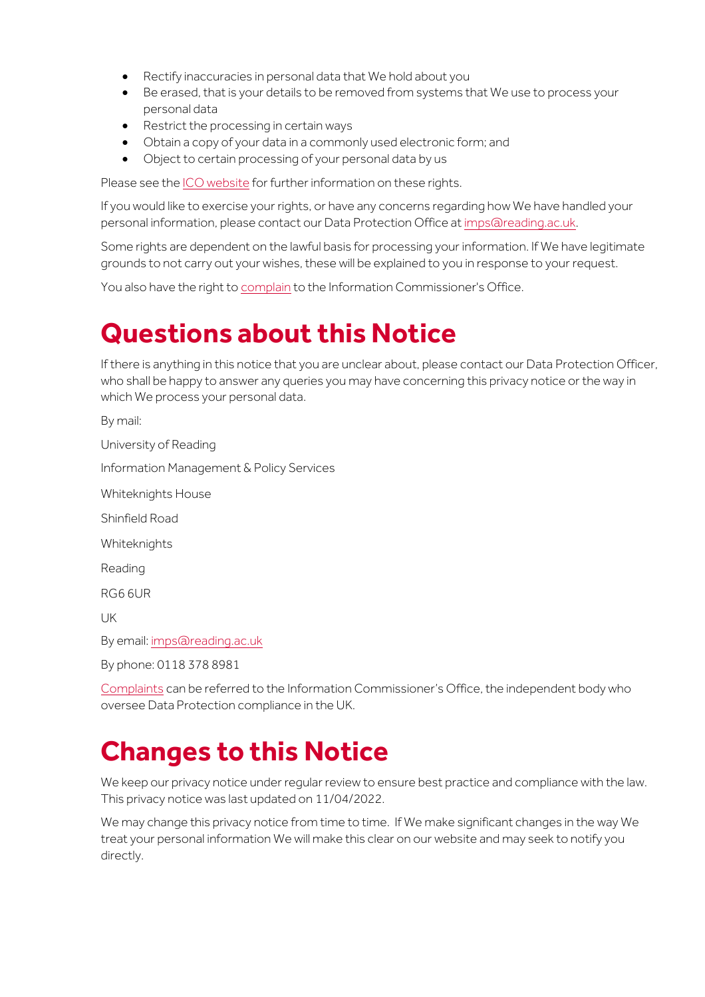- Rectify inaccuracies in personal data that We hold about you
- Be erased, that is your details to be removed from systems that We use to process your personal data
- Restrict the processing in certain ways
- Obtain a copy of your data in a commonly used electronic form; and
- Object to certain processing of your personal data by us

Please see th[e ICO website](https://ico.org.uk/for-organisations/guide-to-data-protection/guide-to-the-general-data-protection-regulation-gdpr/individual-rights/) for further information on these rights.

If you would like to exercise your rights, or have any concerns regarding how We have handled your personal information, please contact our Data Protection Office at [imps@reading.ac.uk.](mailto:imps@reading.ac.uk)

Some rights are dependent on the lawful basis for processing your information. If We have legitimate grounds to not carry out your wishes, these will be explained to you in response to your request.

You also have the right t[o complain](https://ico.org.uk/make-a-complaint/) to the Information Commissioner's Office.

## **Questions about this Notice**

If there is anything in this notice that you are unclear about, please contact our Data Protection Officer, who shall be happy to answer any queries you may have concerning this privacy notice or the way in which We process your personal data.

By mail: University of Reading Information Management & Policy Services Whiteknights House Shinfield Road Whiteknights Reading RG6 6UR UK By email[: imps@reading.ac.uk](mailto:imps@reading.ac.uk) By phone: 0118 378 8981

[Complaints](https://ico.org.uk/make-a-complaint/) can be referred to the Information Commissioner's Office, the independent body who oversee Data Protection compliance in the UK.

#### **Changes to this Notice**

We keep our privacy notice under regular review to ensure best practice and compliance with the law. This privacy notice was last updated on 11/04/2022.

We may change this privacy notice from time to time. If We make significant changes in the way We treat your personal information We will make this clear on our website and may seek to notify you directly.